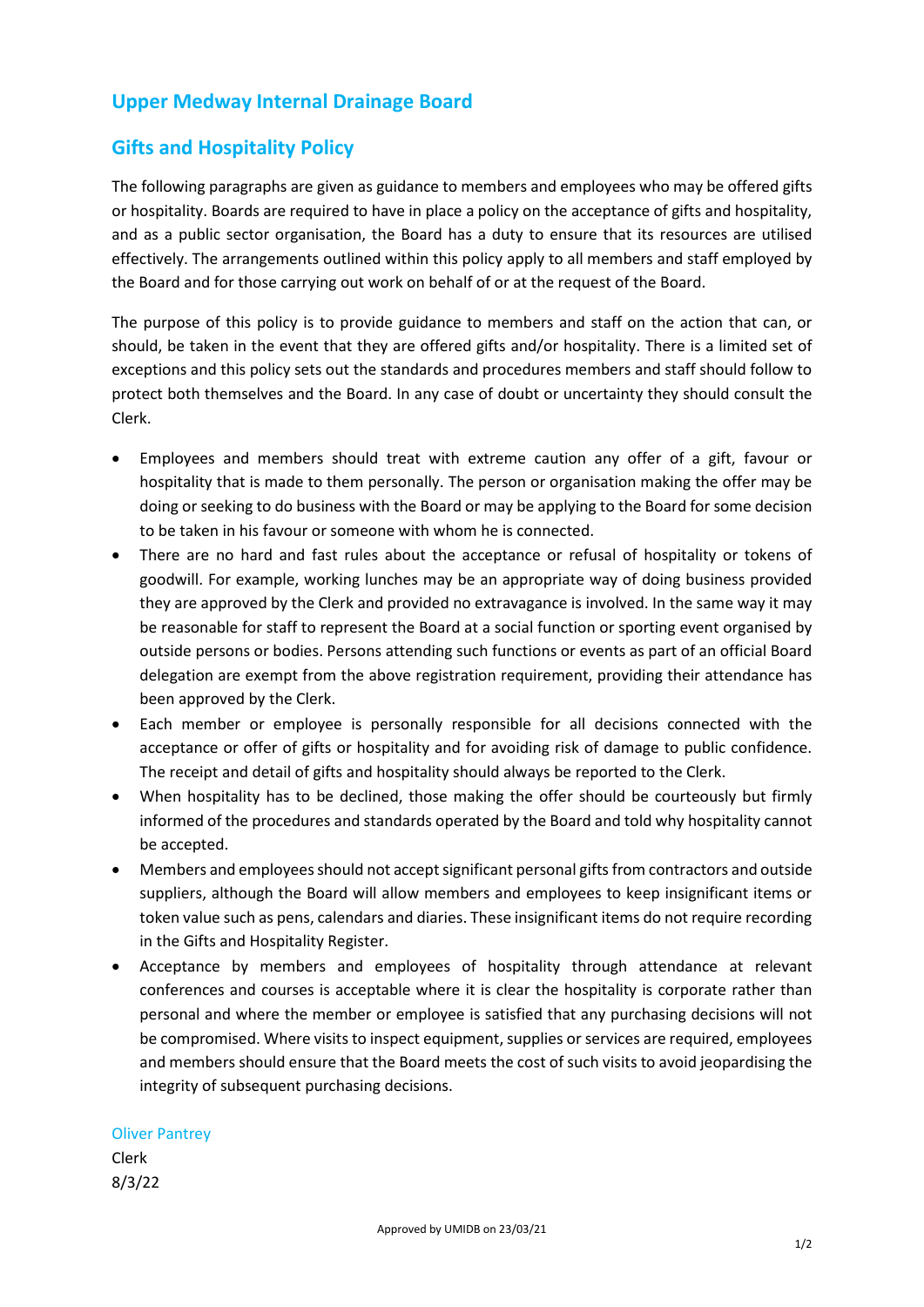## **Upper Medway Internal Drainage Board**

## **Gifts and Hospitality Policy**

The following paragraphs are given as guidance to members and employees who may be offered gifts or hospitality. Boards are required to have in place a policy on the acceptance of gifts and hospitality, and as a public sector organisation, the Board has a duty to ensure that its resources are utilised effectively. The arrangements outlined within this policy apply to all members and staff employed by the Board and for those carrying out work on behalf of or at the request of the Board.

The purpose of this policy is to provide guidance to members and staff on the action that can, or should, be taken in the event that they are offered gifts and/or hospitality. There is a limited set of exceptions and this policy sets out the standards and procedures members and staff should follow to protect both themselves and the Board. In any case of doubt or uncertainty they should consult the Clerk.

- Employees and members should treat with extreme caution any offer of a gift, favour or hospitality that is made to them personally. The person or organisation making the offer may be doing or seeking to do business with the Board or may be applying to the Board for some decision to be taken in his favour or someone with whom he is connected.
- There are no hard and fast rules about the acceptance or refusal of hospitality or tokens of goodwill. For example, working lunches may be an appropriate way of doing business provided they are approved by the Clerk and provided no extravagance is involved. In the same way it may be reasonable for staff to represent the Board at a social function or sporting event organised by outside persons or bodies. Persons attending such functions or events as part of an official Board delegation are exempt from the above registration requirement, providing their attendance has been approved by the Clerk.
- Each member or employee is personally responsible for all decisions connected with the acceptance or offer of gifts or hospitality and for avoiding risk of damage to public confidence. The receipt and detail of gifts and hospitality should always be reported to the Clerk.
- When hospitality has to be declined, those making the offer should be courteously but firmly informed of the procedures and standards operated by the Board and told why hospitality cannot be accepted.
- Members and employees should not accept significant personal gifts from contractors and outside suppliers, although the Board will allow members and employees to keep insignificant items or token value such as pens, calendars and diaries. These insignificant items do not require recording in the Gifts and Hospitality Register.
- Acceptance by members and employees of hospitality through attendance at relevant conferences and courses is acceptable where it is clear the hospitality is corporate rather than personal and where the member or employee is satisfied that any purchasing decisions will not be compromised. Where visits to inspect equipment, supplies or services are required, employees and members should ensure that the Board meets the cost of such visits to avoid jeopardising the integrity of subsequent purchasing decisions.

## Oliver Pantrey

Clerk 8/3/22